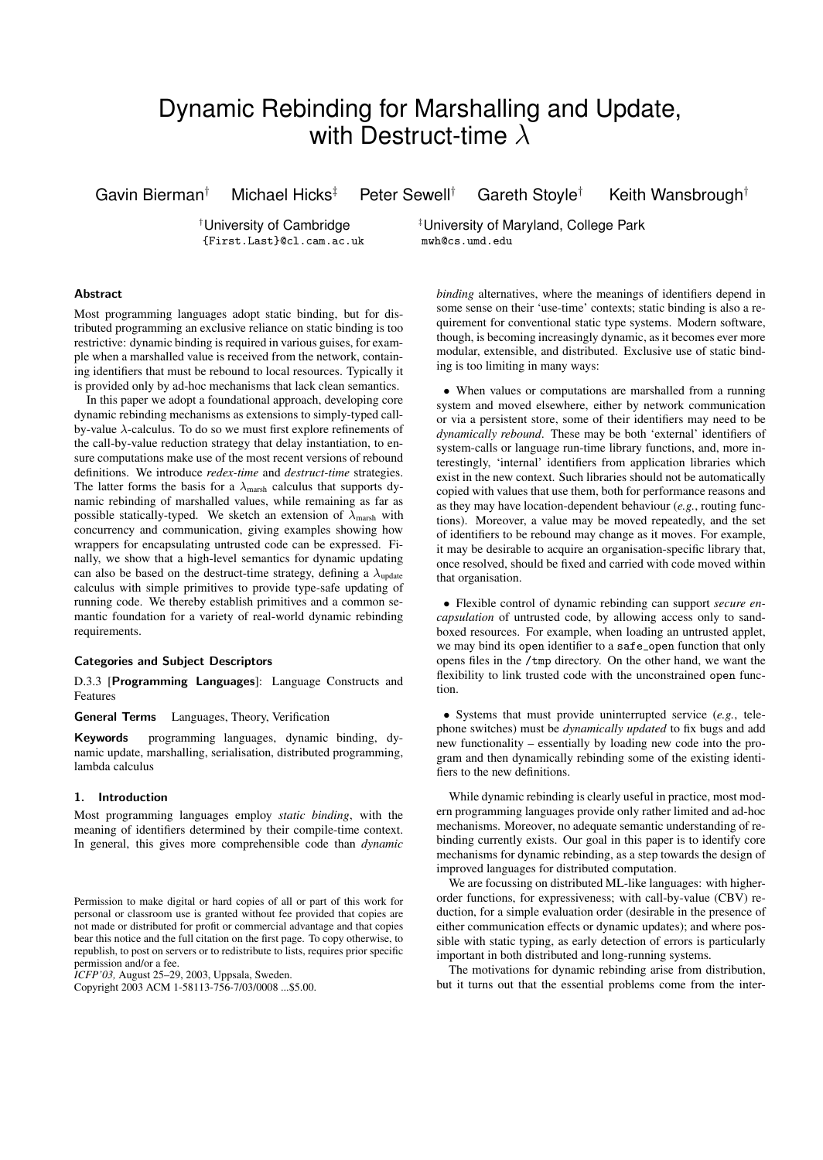# Dynamic Rebinding for Marshalling and Update, with Destruct-time  $\lambda$

Gavin Bierman<sup>†</sup> Michael Hicks<sup>‡</sup> Peter Sewell<sup>†</sup> Gareth Stoyle<sup>†</sup> Keith Wansbrough<sup>†</sup>

 $\dagger$ University of Cambridge  $\dagger$ University of Maryland, College Park {First.Last}@cl.cam.ac.uk mwh@cs.umd.edu

# Abstract

Most programming languages adopt static binding, but for distributed programming an exclusive reliance on static binding is too restrictive: dynamic binding is required in various guises, for example when a marshalled value is received from the network, containing identifiers that must be rebound to local resources. Typically it is provided only by ad-hoc mechanisms that lack clean semantics.

In this paper we adopt a foundational approach, developing core dynamic rebinding mechanisms as extensions to simply-typed callby-value  $\lambda$ -calculus. To do so we must first explore refinements of the call-by-value reduction strategy that delay instantiation, to ensure computations make use of the most recent versions of rebound definitions. We introduce *redex-time* and *destruct-time* strategies. The latter forms the basis for a  $\lambda_{\text{marsh}}$  calculus that supports dynamic rebinding of marshalled values, while remaining as far as possible statically-typed. We sketch an extension of  $\lambda_{\text{marsh}}$  with concurrency and communication, giving examples showing how wrappers for encapsulating untrusted code can be expressed. Finally, we show that a high-level semantics for dynamic updating can also be based on the destruct-time strategy, defining a  $\lambda_{update}$ calculus with simple primitives to provide type-safe updating of running code. We thereby establish primitives and a common semantic foundation for a variety of real-world dynamic rebinding requirements.

## Categories and Subject Descriptors

D.3.3 [Programming Languages]: Language Constructs and Features

#### General Terms Languages, Theory, Verification

Keywords programming languages, dynamic binding, dynamic update, marshalling, serialisation, distributed programming, lambda calculus

# 1. Introduction

Most programming languages employ *static binding*, with the meaning of identifiers determined by their compile-time context. In general, this gives more comprehensible code than *dynamic*

*ICFP'03,* August 25–29, 2003, Uppsala, Sweden.

Copyright 2003 ACM 1-58113-756-7/03/0008 ...\$5.00.

*binding* alternatives, where the meanings of identifiers depend in some sense on their 'use-time' contexts; static binding is also a requirement for conventional static type systems. Modern software, though, is becoming increasingly dynamic, as it becomes ever more modular, extensible, and distributed. Exclusive use of static binding is too limiting in many ways:

• When values or computations are marshalled from a running system and moved elsewhere, either by network communication or via a persistent store, some of their identifiers may need to be *dynamically rebound*. These may be both 'external' identifiers of system-calls or language run-time library functions, and, more interestingly, 'internal' identifiers from application libraries which exist in the new context. Such libraries should not be automatically copied with values that use them, both for performance reasons and as they may have location-dependent behaviour (*e.g.*, routing functions). Moreover, a value may be moved repeatedly, and the set of identifiers to be rebound may change as it moves. For example, it may be desirable to acquire an organisation-specific library that, once resolved, should be fixed and carried with code moved within that organisation.

• Flexible control of dynamic rebinding can support *secure encapsulation* of untrusted code, by allowing access only to sandboxed resources. For example, when loading an untrusted applet, we may bind its open identifier to a safe\_open function that only opens files in the /tmp directory. On the other hand, we want the flexibility to link trusted code with the unconstrained open function.

• Systems that must provide uninterrupted service (*e.g.*, telephone switches) must be *dynamically updated* to fix bugs and add new functionality – essentially by loading new code into the program and then dynamically rebinding some of the existing identifiers to the new definitions.

While dynamic rebinding is clearly useful in practice, most modern programming languages provide only rather limited and ad-hoc mechanisms. Moreover, no adequate semantic understanding of rebinding currently exists. Our goal in this paper is to identify core mechanisms for dynamic rebinding, as a step towards the design of improved languages for distributed computation.

We are focussing on distributed ML-like languages: with higherorder functions, for expressiveness; with call-by-value (CBV) reduction, for a simple evaluation order (desirable in the presence of either communication effects or dynamic updates); and where possible with static typing, as early detection of errors is particularly important in both distributed and long-running systems.

The motivations for dynamic rebinding arise from distribution, but it turns out that the essential problems come from the inter-

Permission to make digital or hard copies of all or part of this work for personal or classroom use is granted without fee provided that copies are not made or distributed for profit or commercial advantage and that copies bear this notice and the full citation on the first page. To copy otherwise, to republish, to post on servers or to redistribute to lists, requires prior specific permission and/or a fee.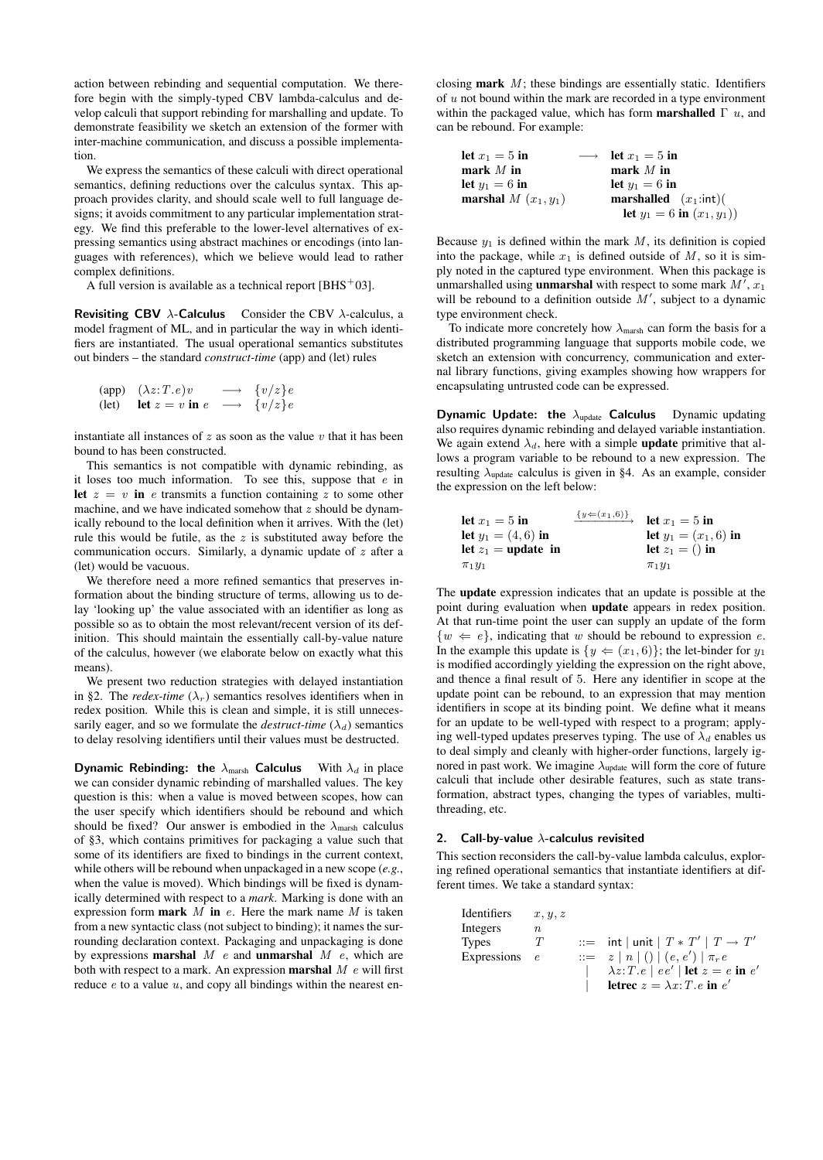action between rebinding and sequential computation. We therefore begin with the simply-typed CBV lambda-calculus and develop calculi that support rebinding for marshalling and update. To demonstrate feasibility we sketch an extension of the former with inter-machine communication, and discuss a possible implementation.

We express the semantics of these calculi with direct operational semantics, defining reductions over the calculus syntax. This approach provides clarity, and should scale well to full language designs; it avoids commitment to any particular implementation strategy. We find this preferable to the lower-level alternatives of expressing semantics using abstract machines or encodings (into languages with references), which we believe would lead to rather complex definitions.

A full version is available as a technical report  $[BHS^+03]$ .

Revisiting CBV  $\lambda$ -Calculus Consider the CBV  $\lambda$ -calculus, a model fragment of ML, and in particular the way in which identifiers are instantiated. The usual operational semantics substitutes out binders – the standard *construct-time* (app) and (let) rules

$$
\begin{array}{lll}\n\text{(app)} & (\lambda z: T.e) \, v & \longrightarrow & \{v/z\} \, e \\
\text{(let)} & \text{let } z = v \text{ in } e & \longrightarrow & \{v/z\} \, e\n\end{array}
$$

instantiate all instances of  $z$  as soon as the value  $v$  that it has been bound to has been constructed.

This semantics is not compatible with dynamic rebinding, as it loses too much information. To see this, suppose that  $e$  in **let**  $z = v$  **in** e transmits a function containing z to some other machine, and we have indicated somehow that  $z$  should be dynamically rebound to the local definition when it arrives. With the (let) rule this would be futile, as the  $z$  is substituted away before the communication occurs. Similarly, a dynamic update of  $z$  after a (let) would be vacuous.

We therefore need a more refined semantics that preserves information about the binding structure of terms, allowing us to delay 'looking up' the value associated with an identifier as long as possible so as to obtain the most relevant/recent version of its definition. This should maintain the essentially call-by-value nature of the calculus, however (we elaborate below on exactly what this means).

We present two reduction strategies with delayed instantiation in §2. The *redex-time*  $(\lambda_r)$  semantics resolves identifiers when in redex position. While this is clean and simple, it is still unnecessarily eager, and so we formulate the *destruct-time*  $(\lambda_d)$  semantics to delay resolving identifiers until their values must be destructed.

**Dynamic Rebinding: the**  $\lambda_{\text{marsh}}$  **Calculus** With  $\lambda_d$  in place we can consider dynamic rebinding of marshalled values. The key question is this: when a value is moved between scopes, how can the user specify which identifiers should be rebound and which should be fixed? Our answer is embodied in the  $\lambda_{\text{marsh}}$  calculus of §3, which contains primitives for packaging a value such that some of its identifiers are fixed to bindings in the current context, while others will be rebound when unpackaged in a new scope (*e.g.*, when the value is moved). Which bindings will be fixed is dynamically determined with respect to a *mark*. Marking is done with an expression form **mark** M **in** e. Here the mark name M is taken from a new syntactic class (not subject to binding); it names the surrounding declaration context. Packaging and unpackaging is done by expressions **marshal** M e and **unmarshal** M e, which are both with respect to a mark. An expression **marshal** M e will first reduce  $e$  to a value  $u$ , and copy all bindings within the nearest enclosing **mark** M; these bindings are essentially static. Identifiers of  $u$  not bound within the mark are recorded in a type environment within the packaged value, which has form **marshalled**  $\Gamma$  u, and can be rebound. For example:

| let $x_1 = 5$ in      | $\rightarrow$ let $x_1 = 5$ in  |
|-----------------------|---------------------------------|
| mark $M$ in           | mark $M$ in                     |
| let $y_1 = 6$ in      | let $y_1 = 6$ in                |
| marshal $M(x_1, y_1)$ | <b>marshalled</b> $(x_1$ :int)( |
|                       | let $y_1 = 6$ in $(x_1, y_1)$   |

Because  $y_1$  is defined within the mark  $M$ , its definition is copied into the package, while  $x_1$  is defined outside of  $M$ , so it is simply noted in the captured type environment. When this package is unmarshalled using **unmarshal** with respect to some mark  $M', x_1$ will be rebound to a definition outside  $M'$ , subject to a dynamic type environment check.

To indicate more concretely how  $\lambda_{\text{marsh}}$  can form the basis for a distributed programming language that supports mobile code, we sketch an extension with concurrency, communication and external library functions, giving examples showing how wrappers for encapsulating untrusted code can be expressed.

Dynamic Update: the  $\lambda_{update}$  Calculus Dynamic updating also requires dynamic rebinding and delayed variable instantiation. We again extend  $\lambda_d$ , here with a simple **update** primitive that allows a program variable to be rebound to a new expression. The resulting  $\lambda_{update}$  calculus is given in §4. As an example, consider the expression on the left below:

let 
$$
x_1 = 5
$$
 in

\nlet  $y_1 = (4, 6)$  in

\nlet  $z_1 =$  update in

\nlet  $z_1 =$  update in

\n $\pi_1 y_1$ 

\n $\pi_1 y_1$ 

The **update** expression indicates that an update is possible at the point during evaluation when **update** appears in redex position. At that run-time point the user can supply an update of the form  $\{w \Leftarrow e\}$ , indicating that w should be rebound to expression e. In the example this update is  $\{y \leftarrow (x_1, 6)\}\;$ ; the let-binder for  $y_1$ is modified accordingly yielding the expression on the right above, and thence a final result of 5. Here any identifier in scope at the update point can be rebound, to an expression that may mention identifiers in scope at its binding point. We define what it means for an update to be well-typed with respect to a program; applying well-typed updates preserves typing. The use of  $\lambda_d$  enables us to deal simply and cleanly with higher-order functions, largely ignored in past work. We imagine  $\lambda_{update}$  will form the core of future calculi that include other desirable features, such as state transformation, abstract types, changing the types of variables, multithreading, etc.

#### 2. Call-by-value  $\lambda$ -calculus revisited

This section reconsiders the call-by-value lambda calculus, exploring refined operational semantics that instantiate identifiers at different times. We take a standard syntax:

| Identifiers | x, y, z    |                                                         |
|-------------|------------|---------------------------------------------------------|
| Integers    | $\, n$     |                                                         |
| Types       | T          | $\therefore$ int   unit   $T * T'$   $T \rightarrow T'$ |
| Expressions | $\epsilon$ | $ ::= z   n   ()   (e, e')   \pi_r e$                   |
|             |            | $\lambda z$ : T.e   ee'   let $z = e$ in e'             |
|             |            | letrec $z = \lambda x$ : T.e in e'                      |
|             |            |                                                         |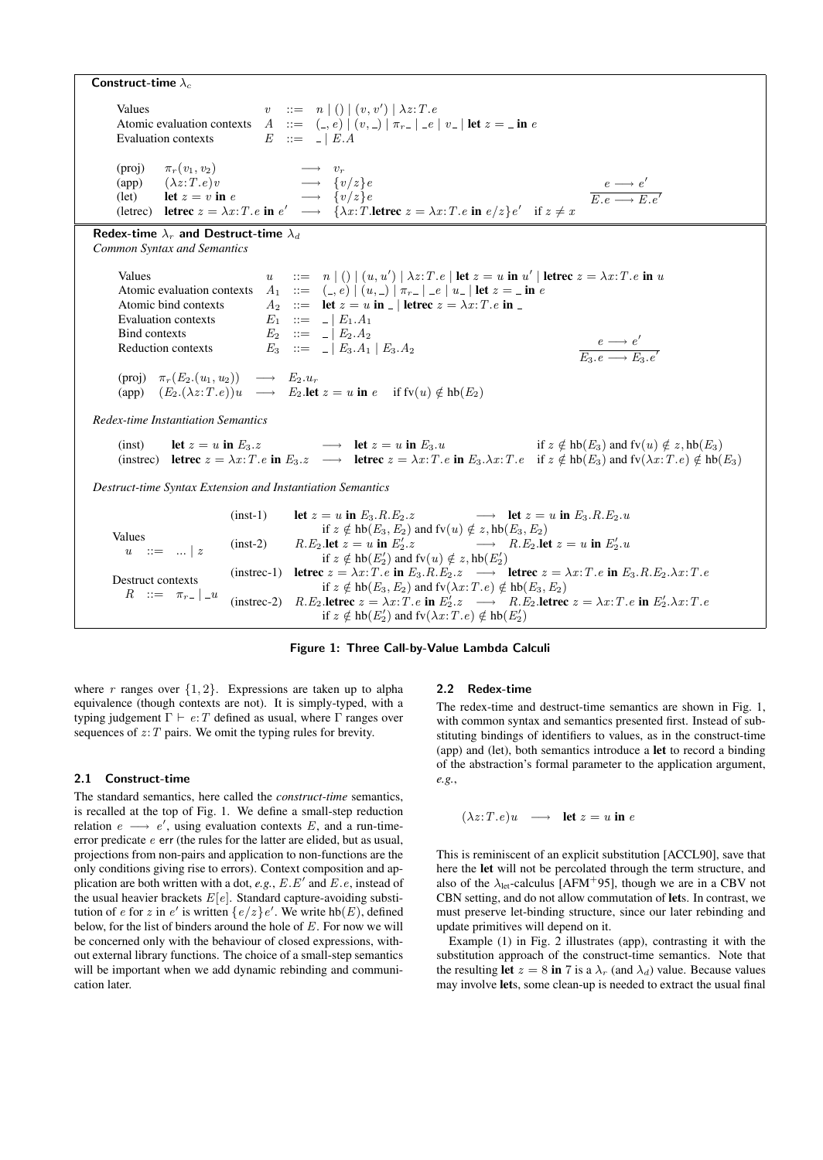Construct-time  $\lambda_c$ Values  $v := n | () | (v, v') | \lambda z : T.e$ Atomic evaluation contexts  $A := (-, e) | (v, -) | \pi_{r-} | = e | v_- | \text{ let } z = \text{ in } e$ <br>Evaluation contexts  $E := -|E.A|$  $E ::= -|E.A$ (proj)  $\pi_r(v_1, v_2) \longrightarrow v_r$ <br>
(app)  $(\lambda z: T.e)v \longrightarrow \{v/z\}e$ (app)  $(\lambda z : T.e) v \longrightarrow \{v/z\} e$ <br>(let) let  $z = v$  in  $e \longrightarrow \{v/z\} e$ (let) **let**  $z = v$  **in** e  $z = \lambda x$ **letrec**  $z = \lambda x$ : T.e **in** e'  $\left\{\lambda x : T.\text{letterec } z = \lambda x : T.e \text{ in } e/z\right\}e' \text{ if } z \neq x$  $e \longrightarrow e'$  $E.e \longrightarrow E.e$  $\overline{a}$ Redex-time  $\lambda_r$  and Destruct-time  $\lambda_d$ *Common Syntax and Semantics* Values  $u$  ::=  $n \mid () \mid (u, u') \mid \lambda z$ :  $T \cdot e \mid \text{let } z = u \text{ in } u' \mid \text{letrec } z = \lambda x$ :  $T \cdot e \text{ in } u$ Atomic evaluation contexts  $A_1 ::= (-, e) | (u, ) | \pi_{r-} | = e | u_- | \text{ let } z = \text{ in } e$ <br>Atomic bind contexts  $A_2 ::= \text{ let } z = u \text{ in } | \text{ letter } e \ z = \lambda x : T \cdot e \text{ in } \square$ Atomic bind contexts  $A_2 ::= \textbf{let } z = u \textbf{ in } \_ |$  **letrec**  $z = \lambda x : T \cdot e \textbf{ in } \_$ <br>Evaluation contexts  $E_1 ::= \_ |E_1 \cdot A_1|$ Evaluation contexts  $E_1 ::= \square | E_1.A_1$ <br>
Bind contexts  $E_2 ::= \square | E_2.A_2$ Bind contexts  $E_2 ::=$ <br>Reduction contexts  $E_3 ::=$  $-$  |  $E_3.A_1$  |  $E_3.A_2$  $e \rightarrow e'$  $E_3.e \longrightarrow E_3.e'$ (proj)  $\pi_r(E_2.(u_1, u_2)) \longrightarrow E_2.u_r$ <br>(app)  $(E_2.(\lambda z; T, e))u \longrightarrow E_2$ .let  $(E_2.(\lambda z : T.e))u \longrightarrow E_2.$ **let**  $z = u$  **in**  $e$  if  $f(v(u) \notin hb(E_2)$ *Redex-time Instantiation Semantics* (inst) **let**  $z = u$  **in** E<sub>3</sub>.  $z \longrightarrow$  **let**  $z = u$  **in** E<sub>3</sub>.  $u$  if  $z \notin \text{hb}(E_3)$  and  $\text{fv}(u) \notin z$ ,  $\text{hb}(E_3)$ (instrec) **letrec**  $z = \lambda x$ : T.e **in** E<sub>3</sub>.z  $\longrightarrow$  **letrec**  $z = \lambda x$ : T.e **in** E<sub>3</sub>. $\lambda x$ : T.e if  $z \notin \text{hb}(E_3)$  and  $\text{fv}(\lambda x$ : T.e)  $\notin \text{hb}(E_3)$ *Destruct-time Syntax Extension and Instantiation Semantics* Values  $u$  ::= ... | z Destruct contexts  $R$  ::=  $\pi_{r-}$  | \_u (inst-1) **let**  $z = u$  **in**  $E_3$ .  $R$ .  $E_2$ .  $z$   $\longrightarrow$  **let**  $z = u$  **in**  $E_3$ .  $R$ .  $E_2$ .  $u$ if  $z \notin \text{hb}(E_3, E_2)$  and  $\text{fv}(u) \notin z$ ,  $\text{hb}(E_3, E_2)$  $(nst-2)$   $R.E_2$ **.let**  $z = u$  in  $E'_2$  $Z_2$ .z  $\longrightarrow$   $R.E_2$ **.let**  $z = u$  in  $E'_2.u$ if  $z \notin \text{hb}(E'_2)$  and  $\text{fv}(u) \notin z, \text{hb}(E'_2)$ (instrec-1) **letrec**  $z = \lambda x$ : T.e **in** E<sub>3</sub>.R.E<sub>2</sub>.z  $\longrightarrow$  **letrec**  $z = \lambda x$ : T.e **in** E<sub>3</sub>.R.E<sub>2</sub>. $\lambda x$ : T.e if  $z \notin \text{hb}(E_3, E_2)$  and  $\text{fv}(\lambda x : T.e) \notin \text{hb}(E_3, E_2)$ (instrec-2)  $R.E_2$ **.letrec**  $z = \lambda x$ : T.e **in**  $E'_2.z \longrightarrow R.E_2$ **.letrec**  $z = \lambda x$ : T.e **in**  $E'_2.\lambda x$ : T.e

Figure 1: Three Call-by-Value Lambda Calculi

if  $z \notin \text{hb}(E'_2)$  and  $\text{fv}(\lambda x: T.e) \notin \text{hb}(E'_2)$ 

where  $r$  ranges over  $\{1, 2\}$ . Expressions are taken up to alpha equivalence (though contexts are not). It is simply-typed, with a typing judgement  $\Gamma \vdash e$ : T defined as usual, where Γ ranges over sequences of  $z: T$  pairs. We omit the typing rules for brevity.

# 2.1 Construct-time

The standard semantics, here called the *construct-time* semantics, is recalled at the top of Fig. 1. We define a small-step reduction relation  $e \longrightarrow e'$ , using evaluation contexts E, and a run-timeerror predicate  $e$  err (the rules for the latter are elided, but as usual, projections from non-pairs and application to non-functions are the only conditions giving rise to errors). Context composition and application are both written with a dot,  $e.g., E.E'$  and  $E.e,$  instead of the usual heavier brackets  $E[e]$ . Standard capture-avoiding substitution of e for z in e' is written  $\{e/z\}e'$ . We write  $hb(E)$ , defined below, for the list of binders around the hole of E. For now we will be concerned only with the behaviour of closed expressions, without external library functions. The choice of a small-step semantics will be important when we add dynamic rebinding and communication later.

### 2.2 Redex-time

The redex-time and destruct-time semantics are shown in Fig. 1, with common syntax and semantics presented first. Instead of substituting bindings of identifiers to values, as in the construct-time (app) and (let), both semantics introduce a **let** to record a binding of the abstraction's formal parameter to the application argument, *e.g.*,

$$
(\lambda z: T.e)u \longrightarrow \text{let } z = u \text{ in } e
$$

This is reminiscent of an explicit substitution [ACCL90], save that here the **let** will not be percolated through the term structure, and also of the  $\lambda_{\text{let}}$ -calculus [AFM<sup>+</sup>95], though we are in a CBV not CBN setting, and do not allow commutation of **let**s. In contrast, we must preserve let-binding structure, since our later rebinding and update primitives will depend on it.

Example (1) in Fig. 2 illustrates (app), contrasting it with the substitution approach of the construct-time semantics. Note that the resulting **let**  $z = 8$  **in** 7 is a  $\lambda_r$  (and  $\lambda_d$ ) value. Because values may involve **let**s, some clean-up is needed to extract the usual final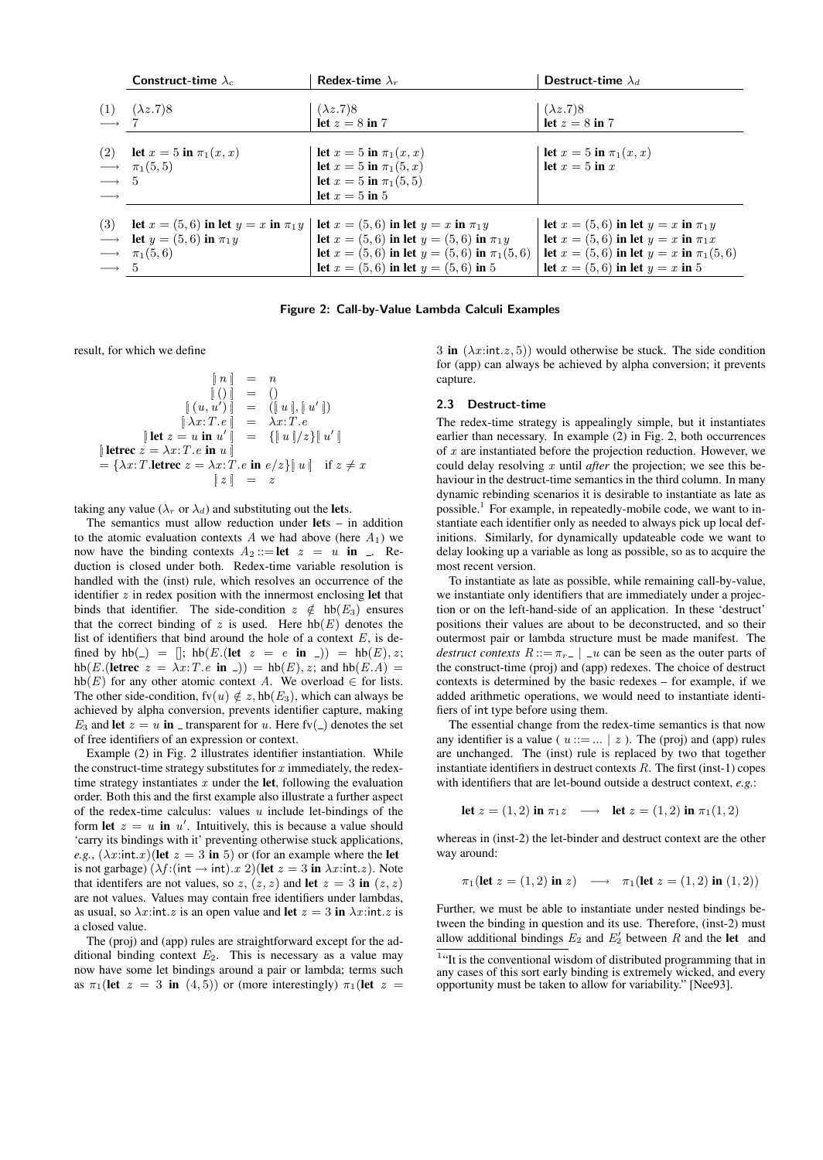|                     | Construct-time $\lambda_c$                                                                                                                                                    | Redex-time $\lambda_r$                                                                                                                           | Destruct-time $\lambda_d$                                                                                                                                                             |
|---------------------|-------------------------------------------------------------------------------------------------------------------------------------------------------------------------------|--------------------------------------------------------------------------------------------------------------------------------------------------|---------------------------------------------------------------------------------------------------------------------------------------------------------------------------------------|
| (1)                 | $(\lambda z.7)8$                                                                                                                                                              | $(\lambda z.7)8$<br><b>let</b> $z = 8$ in 7                                                                                                      | $(\lambda z.7)8$<br><b>let</b> $z = 8$ in 7                                                                                                                                           |
| $\longrightarrow$ 5 | (2) let $x = 5$ in $\pi_1(x, x)$<br>$\longrightarrow \pi_1(5,5)$                                                                                                              | let $x = 5$ in $\pi_1(x, x)$<br>let $x = 5$ in $\pi_1(5, x)$<br>let $x = 5$ in $\pi_1(5, 5)$<br>let $x = 5$ in 5                                 | let $x = 5$ in $\pi_1(x, x)$<br>let $x = 5$ in $x$                                                                                                                                    |
| $\longrightarrow$ 5 | (3) let $x = (5,6)$ in let $y = x$ in $\pi_1 y$ let $x = (5,6)$ in let $y = x$ in $\pi_1 y$<br>$\longrightarrow$ let $y = (5,6)$ in $\pi_1 y$<br>$\longrightarrow \pi_1(5,6)$ | let $x = (5,6)$ in let $y = (5,6)$ in $\pi_1 y$<br>let $x = (5,6)$ in let $y = (5,6)$ in $\pi_1(5,6)$<br>let $x = (5,6)$ in let $y = (5,6)$ in 5 | let $x = (5, 6)$ in let $y = x$ in $\pi_1 y$<br>let $x = (5,6)$ in let $y = x$ in $\pi_1 x$<br>let $x = (5,6)$ in let $y = x$ in $\pi_1(5,6)$<br>let $x = (5, 6)$ in let $y = x$ in 5 |

Figure 2: Call-by-Value Lambda Calculi Examples

result, for which we define

$$
\begin{array}{rcl}\n\left[\begin{array}{ccc}\nn\end{array}\right] & = & n \\
\left[\begin{array}{ccc}\n\end{array}\right] & = & \left(\begin{array}{ccc}\n\end{array}\right) \\
\left[\begin{array}{ccc}\n\end{array}\right] & = & \left(\begin{array}{ccc}\n\end{array}\right]u\right] \\
\left[\begin{array}{ccc}\n\lambda x: T.e \\
\lambda x: T.e\n\end{array}\right] & = & \lambda x: T.e \\
\left[\begin{array}{ccc}\n\left[\text{let } z = u \text{ in } u'\right] & = & \left\{\begin{array}{ccc}\n\end{array}\right]u\right] \left[\begin{array}{ccc}\nu\end{array}\right] \\
=\left\{\lambda x: T.\text{let } z = \lambda x: T.e \text{ in } u\right\} \\
=\left\{\lambda x: T.\text{let } z = \lambda x: T.e \text{ in } e/z\right\}\left[\begin{array}{ccc}\nu\end{array}\right] & \text{if } z \neq x \\
\left[\begin{array}{ccc}\nz\end{array}\right] & = & z\n\end{array}
$$

taking any value ( $\lambda_r$  or  $\lambda_d$ ) and substituting out the **let**s.

The semantics must allow reduction under **let**s – in addition to the atomic evaluation contexts A we had above (here  $A_1$ ) we now have the binding contexts  $A_2 ::= \text{let } z = u \text{ in } ...$  Reduction is closed under both. Redex-time variable resolution is handled with the (inst) rule, which resolves an occurrence of the identifier z in redex position with the innermost enclosing **let** that binds that identifier. The side-condition  $z \notin \text{hb}(E_3)$  ensures that the correct binding of z is used. Here  $hb(E)$  denotes the list of identifiers that bind around the hole of a context  $E$ , is defined by  $hb( ) = []$ ;  $hb(E.(let z = e in ) ) = hb(E), z;$  $hb(E.(\text{letrec } z = \lambda x : T.e \text{ in } \_)) = hb(E), z; \text{ and } hb(E.A) =$ hb(E) for any other atomic context A. We overload  $\in$  for lists. The other side-condition,  $f(v) \notin z$ , hb(E<sub>3</sub>), which can always be achieved by alpha conversion, prevents identifier capture, making  $E_3$  and **let**  $z = u$  **in** \_ transparent for u. Here fv( ) denotes the set of free identifiers of an expression or context.

Example (2) in Fig. 2 illustrates identifier instantiation. While the construct-time strategy substitutes for  $x$  immediately, the redextime strategy instantiates  $x$  under the **let**, following the evaluation order. Both this and the first example also illustrate a further aspect of the redex-time calculus: values  $u$  include let-bindings of the form let  $z = u$  in  $u'$ . Intuitively, this is because a value should 'carry its bindings with it' preventing otherwise stuck applications, *e.g.*,  $(\lambda x$ :int.x)(**let**  $z = 3$  **in** 5) or (for an example where the **let** is not garbage)  $(\lambda f: (\text{int} \rightarrow \text{int}).x \, 2)(\text{let } z = 3 \text{ in } \lambda x: \text{int}.z)$ . Note that identifers are not values, so z,  $(z, z)$  and let  $z = 3$  in  $(z, z)$ are not values. Values may contain free identifiers under lambdas, as usual, so  $\lambda x$ :int.z is an open value and **let**  $z = 3$  **in**  $\lambda x$ :int.z is a closed value.

The (proj) and (app) rules are straightforward except for the additional binding context  $E_2$ . This is necessary as a value may now have some let bindings around a pair or lambda; terms such as  $\pi_1$ (**let**  $z = 3$  **in** (4,5)) or (more interestingly)  $\pi_1$ (**let**  $z =$ 

3 **in**  $(\lambda x$ :int.z, 5)) would otherwise be stuck. The side condition for (app) can always be achieved by alpha conversion; it prevents capture.

#### 2.3 Destruct-time

The redex-time strategy is appealingly simple, but it instantiates earlier than necessary. In example (2) in Fig. 2, both occurrences of  $x$  are instantiated before the projection reduction. However, we could delay resolving x until *after* the projection; we see this behaviour in the destruct-time semantics in the third column. In many dynamic rebinding scenarios it is desirable to instantiate as late as possible.<sup>1</sup> For example, in repeatedly-mobile code, we want to instantiate each identifier only as needed to always pick up local definitions. Similarly, for dynamically updateable code we want to delay looking up a variable as long as possible, so as to acquire the most recent version.

To instantiate as late as possible, while remaining call-by-value, we instantiate only identifiers that are immediately under a projection or on the left-hand-side of an application. In these 'destruct' positions their values are about to be deconstructed, and so their outermost pair or lambda structure must be made manifest. The *destruct contexts*  $R ::= \pi_{r-} \mid u$  can be seen as the outer parts of the construct-time (proj) and (app) redexes. The choice of destruct contexts is determined by the basic redexes – for example, if we added arithmetic operations, we would need to instantiate identifiers of int type before using them.

The essential change from the redex-time semantics is that now any identifier is a value ( $u ::= ... | z$ ). The (proj) and (app) rules are unchanged. The (inst) rule is replaced by two that together instantiate identifiers in destruct contexts  $R$ . The first (inst-1) copes with identifiers that are let-bound outside a destruct context, *e.g.*:

Let 
$$
z = (1, 2)
$$
 in  $\pi_1 z \longrightarrow$  let  $z = (1, 2)$  in  $\pi_1 (1, 2)$ 

whereas in (inst-2) the let-binder and destruct context are the other way around:

$$
\pi_1(\text{let } z = (1,2) \text{ in } z) \longrightarrow \pi_1(\text{let } z = (1,2) \text{ in } (1,2))
$$

Further, we must be able to instantiate under nested bindings between the binding in question and its use. Therefore, (inst-2) must allow additional bindings  $E_2$  and  $E'_2$  between R and the **let** and

<sup>&</sup>lt;sup>1</sup>"It is the conventional wisdom of distributed programming that in any cases of this sort early binding is extremely wicked, and every opportunity must be taken to allow for variability." [Nee93].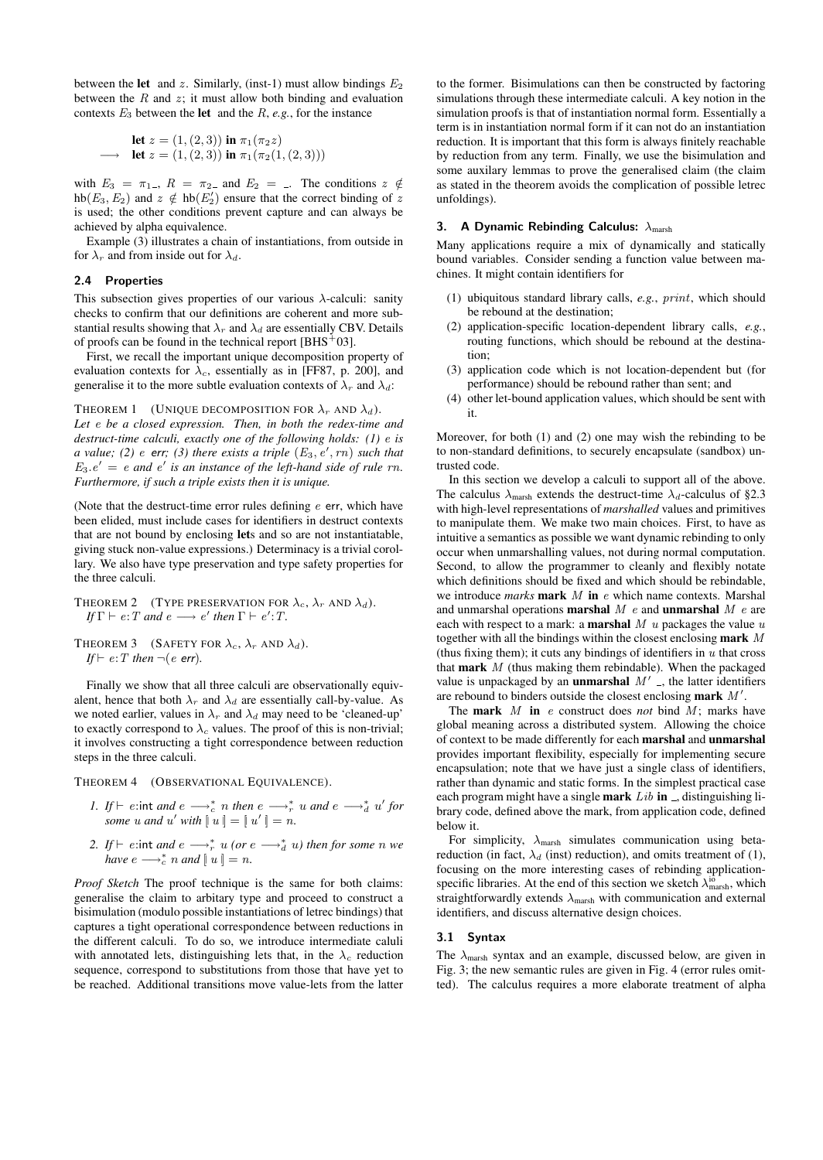between the **let** and z. Similarly, (inst-1) must allow bindings  $E_2$ between the  $R$  and  $z$ ; it must allow both binding and evaluation contexts  $E_3$  between the **let** and the  $R$ ,  $e.g.,$  for the instance

let 
$$
z = (1, (2, 3))
$$
 in  $\pi_1(\pi_2 z)$   
\n $\longrightarrow$  let  $z = (1, (2, 3))$  in  $\pi_1(\pi_2(1, (2, 3)))$ 

with  $E_3 = \pi_{1-}$ ,  $R = \pi_{2-}$  and  $E_2 = \ldots$  The conditions  $z \notin$ hb( $E_3, E_2$ ) and  $z \notin \text{hb}(E'_2)$  ensure that the correct binding of z is used; the other conditions prevent capture and can always be achieved by alpha equivalence.

Example (3) illustrates a chain of instantiations, from outside in for  $\lambda_r$  and from inside out for  $\lambda_d$ .

#### 2.4 Properties

This subsection gives properties of our various  $\lambda$ -calculi: sanity checks to confirm that our definitions are coherent and more substantial results showing that  $\lambda_r$  and  $\lambda_d$  are essentially CBV. Details of proofs can be found in the technical report [BHS<sup>+</sup>03].

First, we recall the important unique decomposition property of evaluation contexts for  $\lambda_c$ , essentially as in [FF87, p. 200], and generalise it to the more subtle evaluation contexts of  $\lambda_r$  and  $\lambda_d$ :

THEOREM 1 (UNIQUE DECOMPOSITION FOR  $\lambda_r$  AND  $\lambda_d$ ). *Let* e *be a closed expression. Then, in both the redex-time and destruct-time calculi, exactly one of the following holds: (1)* e *is a* value; (2)  $e$  err; (3) there exists a triple  $(E_3, e', rn)$  such that  $E_3 \cdot e' = e$  and  $e'$  is an instance of the left-hand side of rule rn. *Furthermore, if such a triple exists then it is unique.*

(Note that the destruct-time error rules defining  $e$  err, which have been elided, must include cases for identifiers in destruct contexts that are not bound by enclosing **let**s and so are not instantiatable, giving stuck non-value expressions.) Determinacy is a trivial corollary. We also have type preservation and type safety properties for the three calculi.

- THEOREM 2 (TYPE PRESERVATION FOR  $\lambda_c$ ,  $\lambda_r$  AND  $\lambda_d$ ).  $\textit{If } \Gamma \vdash e \colon T \text{ and } e \longrightarrow e' \text{ then } \Gamma \vdash e' \colon T.$
- THEOREM 3 (SAFETY FOR  $\lambda_c$ ,  $\lambda_r$  AND  $\lambda_d$ ). *If*  $\vdash$  *e*: *T then*  $\neg$  (*e err*).

Finally we show that all three calculi are observationally equivalent, hence that both  $\lambda_r$  and  $\lambda_d$  are essentially call-by-value. As we noted earlier, values in  $\lambda_r$  and  $\lambda_d$  may need to be 'cleaned-up' to exactly correspond to  $\lambda_c$  values. The proof of this is non-trivial; it involves constructing a tight correspondence between reduction steps in the three calculi.

THEOREM 4 (OBSERVATIONAL EQUIVALENCE).

- *1. If*  $\vdash$  *e*:int *and*  $e \rightarrow e^*$  *n then*  $e \rightarrow e^*$  *u and*  $e \rightarrow e^*$  *u' for some*  $u$  *and*  $u'$  *with*  $[|u|] = [|u'|] = n$ .
- 2. If  $\vdash$  e:int *and*  $e \longrightarrow_r^* u$  *(or*  $e \longrightarrow_d^* u$ *) then for some n we have*  $e \longrightarrow_c^* n$  *and*  $[u] = n$ .

*Proof Sketch* The proof technique is the same for both claims: generalise the claim to arbitary type and proceed to construct a bisimulation (modulo possible instantiations of letrec bindings) that captures a tight operational correspondence between reductions in the different calculi. To do so, we introduce intermediate caluli with annotated lets, distinguishing lets that, in the  $\lambda_c$  reduction sequence, correspond to substitutions from those that have yet to be reached. Additional transitions move value-lets from the latter

to the former. Bisimulations can then be constructed by factoring simulations through these intermediate calculi. A key notion in the simulation proofs is that of instantiation normal form. Essentially a term is in instantiation normal form if it can not do an instantiation reduction. It is important that this form is always finitely reachable by reduction from any term. Finally, we use the bisimulation and some auxilary lemmas to prove the generalised claim (the claim as stated in the theorem avoids the complication of possible letrec unfoldings).

#### 3. A Dynamic Rebinding Calculus:  $\lambda_{\text{marsh}}$

Many applications require a mix of dynamically and statically bound variables. Consider sending a function value between machines. It might contain identifiers for

- (1) ubiquitous standard library calls, *e.g.*, print, which should be rebound at the destination;
- (2) application-specific location-dependent library calls, *e.g.*, routing functions, which should be rebound at the destination;
- (3) application code which is not location-dependent but (for performance) should be rebound rather than sent; and
- (4) other let-bound application values, which should be sent with it.

Moreover, for both (1) and (2) one may wish the rebinding to be to non-standard definitions, to securely encapsulate (sandbox) untrusted code.

In this section we develop a calculi to support all of the above. The calculus  $\lambda_{\text{marsh}}$  extends the destruct-time  $\lambda_d$ -calculus of §2.3 with high-level representations of *marshalled* values and primitives to manipulate them. We make two main choices. First, to have as intuitive a semantics as possible we want dynamic rebinding to only occur when unmarshalling values, not during normal computation. Second, to allow the programmer to cleanly and flexibly notate which definitions should be fixed and which should be rebindable, we introduce *marks* **mark** M **in** e which name contexts. Marshal and unmarshal operations **marshal** M e and **unmarshal** M e are each with respect to a mark: a **marshal**  $M$   $u$  packages the value  $u$ together with all the bindings within the closest enclosing **mark** M (thus fixing them); it cuts any bindings of identifiers in  $u$  that cross that **mark** M (thus making them rebindable). When the packaged value is unpackaged by an **unmarshal**  $M'$ , the latter identifiers are rebound to binders outside the closest enclosing **mark** M'.

The **mark**  $M$  in  $e$  construct does *not* bind  $M$ ; marks have global meaning across a distributed system. Allowing the choice of context to be made differently for each **marshal** and **unmarshal** provides important flexibility, especially for implementing secure encapsulation; note that we have just a single class of identifiers, rather than dynamic and static forms. In the simplest practical case each program might have a single **mark** Lib **in** \_, distinguishing library code, defined above the mark, from application code, defined below it.

For simplicity,  $\lambda_{\text{marsh}}$  simulates communication using betareduction (in fact,  $\lambda_d$  (inst) reduction), and omits treatment of (1), focusing on the more interesting cases of rebinding applicationspecific libraries. At the end of this section we sketch  $\lambda_{\text{marsh}}^{i\sigma}$ , which straightforwardly extends  $\lambda_{\text{marsh}}$  with communication and external identifiers, and discuss alternative design choices.

#### 3.1 Syntax

The  $\lambda_{\text{marsh}}$  syntax and an example, discussed below, are given in Fig. 3; the new semantic rules are given in Fig. 4 (error rules omitted). The calculus requires a more elaborate treatment of alpha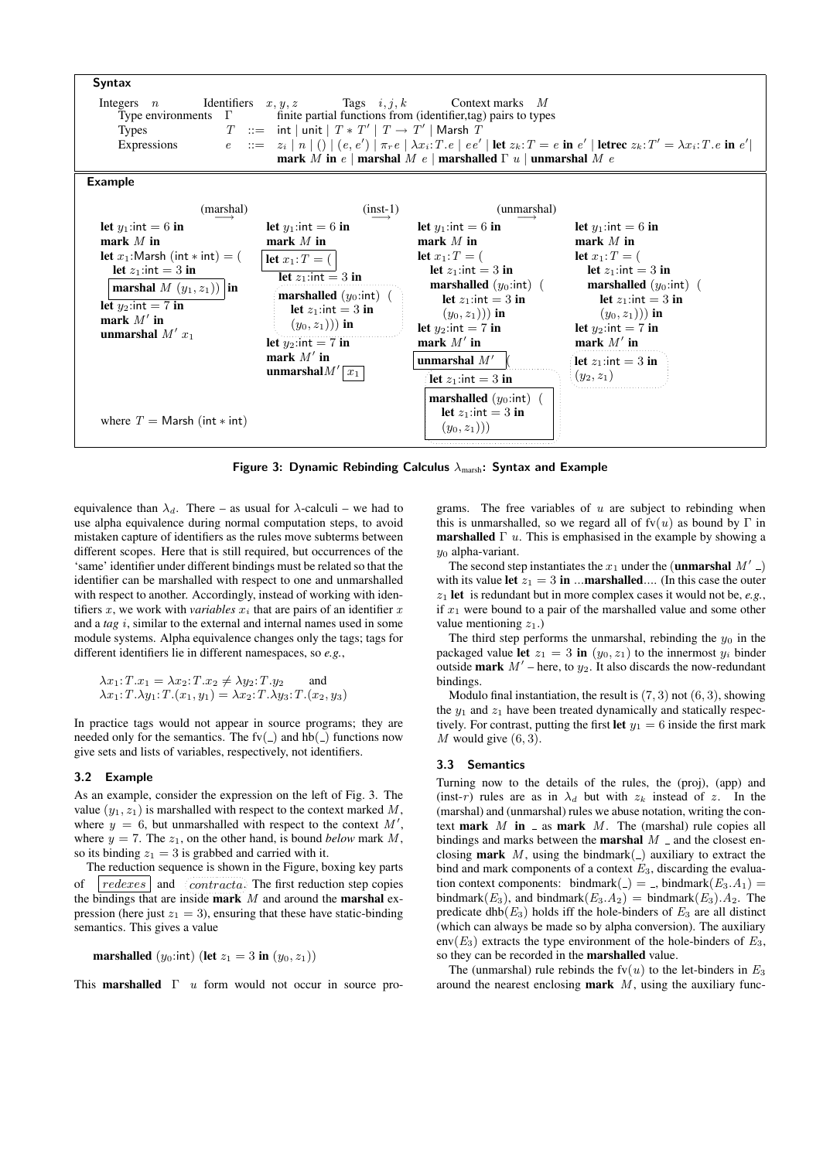

Figure 3: Dynamic Rebinding Calculus  $\lambda_{\text{mark}}$ : Syntax and Example

equivalence than  $\lambda_d$ . There – as usual for  $\lambda$ -calculi – we had to use alpha equivalence during normal computation steps, to avoid mistaken capture of identifiers as the rules move subterms between different scopes. Here that is still required, but occurrences of the 'same' identifier under different bindings must be related so that the identifier can be marshalled with respect to one and unmarshalled with respect to another. Accordingly, instead of working with identifiers  $x$ , we work with *variables*  $x_i$  that are pairs of an identifier  $x$ and a *tag* i, similar to the external and internal names used in some module systems. Alpha equivalence changes only the tags; tags for different identifiers lie in different namespaces, so *e.g.*,

$$
\lambda x_1: T.x_1 = \lambda x_2: T.x_2 \neq \lambda y_2: T.y_2
$$
 and  

$$
\lambda x_1: T.\lambda y_1: T.(x_1, y_1) = \lambda x_2: T.\lambda y_3: T.(x_2, y_3)
$$

In practice tags would not appear in source programs; they are needed only for the semantics. The  $fv(\_)$  and  $hb(\_)$  functions now give sets and lists of variables, respectively, not identifiers.

#### 3.2 Example

As an example, consider the expression on the left of Fig. 3. The value  $(y_1, z_1)$  is marshalled with respect to the context marked M, where  $y = 6$ , but unmarshalled with respect to the context  $M'$ , where  $y = 7$ . The  $z_1$ , on the other hand, is bound *below* mark M, so its binding  $z_1 = 3$  is grabbed and carried with it.

The reduction sequence is shown in the Figure, boxing key parts of  $reduces$  and *contracta*. The first reduction step copies the bindings that are inside **mark** M and around the **marshal** expression (here just  $z_1 = 3$ ), ensuring that these have static-binding semantics. This gives a value

**marshalled** (y<sub>0</sub>:int) (**let**  $z_1 = 3$  **in** (y<sub>0</sub>,  $z_1$ ))

This **marshalled** Γ u form would not occur in source pro-

grams. The free variables of  $u$  are subject to rebinding when this is unmarshalled, so we regard all of  $f(v(u))$  as bound by  $\Gamma$  in **marshalled**  $\Gamma$  u. This is emphasised in the example by showing a  $y_0$  alpha-variant.

The second step instantiates the  $x_1$  under the (**unmarshal**  $M'$ ) with its value **let**  $z_1 = 3$  **in** ...**marshalled**.... (In this case the outer z<sup>1</sup> **let** is redundant but in more complex cases it would not be, *e.g.*, if  $x_1$  were bound to a pair of the marshalled value and some other value mentioning  $z_1$ .)

The third step performs the unmarshal, rebinding the  $y_0$  in the packaged value **let**  $z_1 = 3$  **in**  $(y_0, z_1)$  to the innermost  $y_i$  binder outside **mark**  $M'$  – here, to  $y_2$ . It also discards the now-redundant bindings.

Modulo final instantiation, the result is  $(7, 3)$  not  $(6, 3)$ , showing the  $y_1$  and  $z_1$  have been treated dynamically and statically respectively. For contrast, putting the first **let**  $y_1 = 6$  inside the first mark  $M$  would give  $(6, 3)$ .

#### 3.3 Semantics

Turning now to the details of the rules, the (proj), (app) and (inst-r) rules are as in  $\lambda_d$  but with  $z_k$  instead of z. In the (marshal) and (unmarshal) rules we abuse notation, writing the context **mark**  $M$  **in**  $\Delta$  as **mark**  $M$ . The (marshal) rule copies all bindings and marks between the **marshal**  $M$  and the closest enclosing **mark** M, using the bindmark( $\Box$ ) auxiliary to extract the bind and mark components of a context  $E_3$ , discarding the evaluation context components: bindmark $($ <sub>-</sub> $)$  = <sub>-</sub>, bindmark $(E_3.A_1)$  = bindmark $(E_3)$ , and bindmark $(E_3.A_2)$  = bindmark $(E_3).A_2$ . The predicate dhb $(E_3)$  holds iff the hole-binders of  $E_3$  are all distinct (which can always be made so by alpha conversion). The auxiliary env $(E_3)$  extracts the type environment of the hole-binders of  $E_3$ , so they can be recorded in the **marshalled** value.

The (unmarshal) rule rebinds the  $f(v(u))$  to the let-binders in  $E_3$ around the nearest enclosing **mark**  $M$ , using the auxiliary func-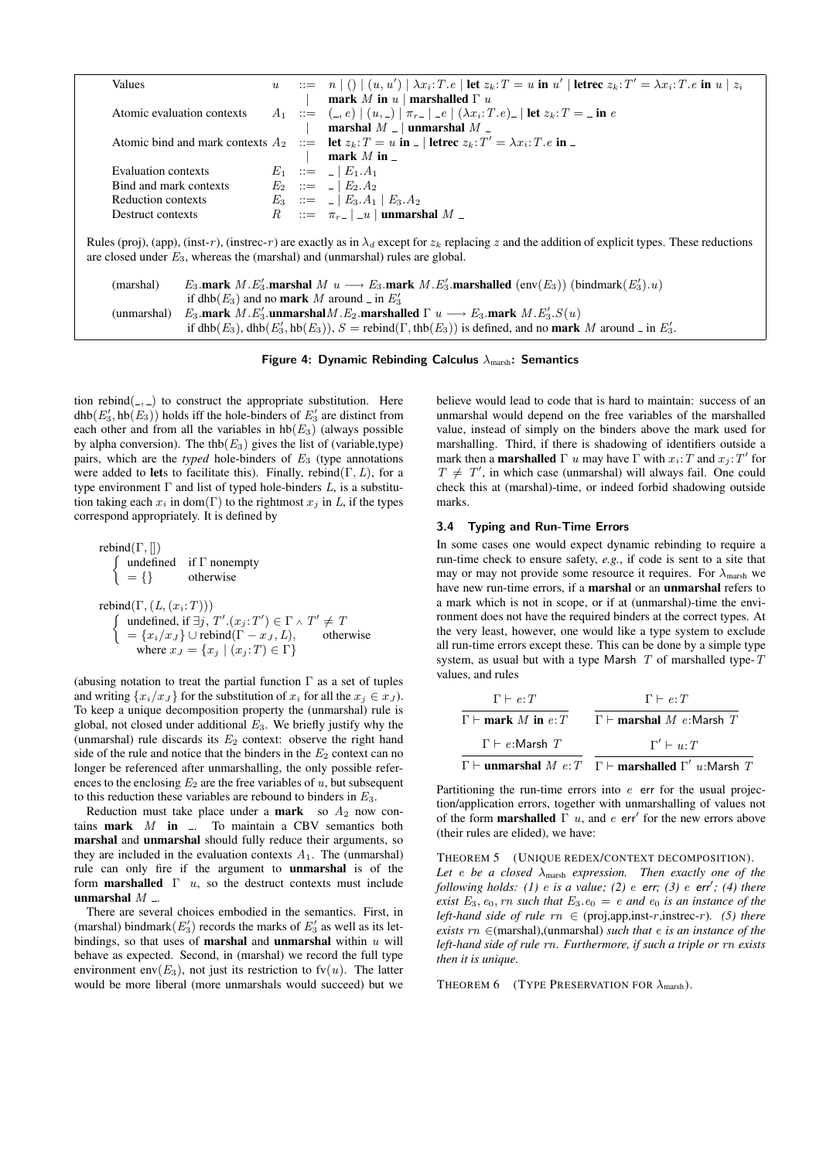| mark M in $u \mid$ marshalled $\Gamma u$<br>$A_1$ ::= $(-, e)   (u, )   \pi_{r}   -e   (\lambda x_i : T.e)   \text{let } z_k : T = \text{in } e$<br>Atomic evaluation contexts<br>marshal $M$   unmarshal $M$  <br>Atomic bind and mark contexts $A_2$ ::= let $z_k$ : $T = u$ in $\Box$ letrec $z_k$ : $T' = \lambda x_i$ : $T \cdot e$ in $\Box$<br>mark $M$ in $\blacksquare$ |  |  |  |
|----------------------------------------------------------------------------------------------------------------------------------------------------------------------------------------------------------------------------------------------------------------------------------------------------------------------------------------------------------------------------------|--|--|--|
|                                                                                                                                                                                                                                                                                                                                                                                  |  |  |  |
|                                                                                                                                                                                                                                                                                                                                                                                  |  |  |  |
|                                                                                                                                                                                                                                                                                                                                                                                  |  |  |  |
|                                                                                                                                                                                                                                                                                                                                                                                  |  |  |  |
|                                                                                                                                                                                                                                                                                                                                                                                  |  |  |  |
| $E_1$ ::= $ E_1.A_1$<br>Evaluation contexts                                                                                                                                                                                                                                                                                                                                      |  |  |  |
| $E_2$ ::= $\Box E_2.A_2$<br>Bind and mark contexts                                                                                                                                                                                                                                                                                                                               |  |  |  |
| $E_3$ ::= $\Box E_3.A_1 \mid E_3.A_2$<br><b>Reduction contexts</b>                                                                                                                                                                                                                                                                                                               |  |  |  |
| $R$ ::= $\pi_r$   _u   unmarshal M _<br>Destruct contexts                                                                                                                                                                                                                                                                                                                        |  |  |  |
|                                                                                                                                                                                                                                                                                                                                                                                  |  |  |  |
| Rules (proj), (app), (inst-r), (instrec-r) are exactly as in $\lambda_d$ except for $z_k$ replacing z and the addition of explicit types. These reductions                                                                                                                                                                                                                       |  |  |  |
| are closed under $E_3$ , whereas the (marshal) and (unmarshal) rules are global.                                                                                                                                                                                                                                                                                                 |  |  |  |
|                                                                                                                                                                                                                                                                                                                                                                                  |  |  |  |
| E <sub>3</sub> .mark M.E <sub>3</sub> .marshal M $u \longrightarrow E_3$ .mark M.E <sub>3</sub> .marshalled (env(E <sub>3</sub> )) (bindmark(E <sub>3</sub> ').u)<br>(marshal)                                                                                                                                                                                                   |  |  |  |
| if dhb( $E_3$ ) and no <b>mark</b> M around in $E'_3$                                                                                                                                                                                                                                                                                                                            |  |  |  |
| E <sub>3</sub> .mark M.E <sub>3</sub> .unmarshalM.E <sub>2</sub> .marshalled $\Gamma$ u $\longrightarrow$ E <sub>3</sub> .mark M.E <sub>3</sub> .S(u)<br>(unmarshal)                                                                                                                                                                                                             |  |  |  |

if  $dhb(E_3)$ ,  $dhb(E'_3, hb(E_3))$ ,  $S =$  rebind $(\Gamma, thb(E_3))$  is defined, and no **mark** M around \_ in  $E'_3$ .

Figure 4: Dynamic Rebinding Calculus  $\lambda_{\text{mark}}$ : Semantics

tion rebind $($ ,  $)$  to construct the appropriate substitution. Here  $dhb(E'_3, hb(E_3))$  holds iff the hole-binders of  $E'_3$  are distinct from each other and from all the variables in  $hb(E_3)$  (always possible by alpha conversion). The thb $(E_3)$  gives the list of (variable,type) pairs, which are the *typed* hole-binders of  $E_3$  (type annotations were added to **let**s to facilitate this). Finally, rebind( $\Gamma$ , L), for a type environment  $\Gamma$  and list of typed hole-binders  $L$ , is a substitution taking each  $x_i$  in dom(Γ) to the rightmost  $x_i$  in L, if the types correspond appropriately. It is defined by

rebind
$$
(\Gamma, [])
$$
  
\n
$$
\begin{cases}\n\text{undefined} & \text{if } \Gamma \text{ nonempty} \\
= \{\}\n\end{cases}\n\text{otherwise}
$$
\nrebind $(\Gamma, (L, (x_i: T)))$ \n
$$
\begin{cases}\n\text{undefined, if } \exists j, T'. (x_j: T') \in \Gamma \land T' \neq T \\
= \{x_i/x_J\} \cup \text{rebind}(\Gamma - x_J, L), \qquad \text{otherwise} \\
\text{where } x_J = \{x_j \mid (x_j: T) \in \Gamma\}\n\end{cases}
$$

(abusing notation to treat the partial function  $\Gamma$  as a set of tuples and writing  $\{x_i/x_J\}$  for the substitution of  $x_i$  for all the  $x_j \in x_J$ ). To keep a unique decomposition property the (unmarshal) rule is global, not closed under additional  $E_3$ . We briefly justify why the (unmarshal) rule discards its  $E_2$  context: observe the right hand side of the rule and notice that the binders in the  $E_2$  context can no longer be referenced after unmarshalling, the only possible references to the enclosing  $E_2$  are the free variables of  $u$ , but subsequent to this reduction these variables are rebound to binders in  $E_3$ .

Reduction must take place under a **mark** so  $A_2$  now contains **mark** M **in** . To maintain a CBV semantics both **marshal** and **unmarshal** should fully reduce their arguments, so they are included in the evaluation contexts  $A_1$ . The (unmarshal) rule can only fire if the argument to **unmarshal** is of the form **marshalled**  $\Gamma$  u, so the destruct contexts must include **unmarshal** M

There are several choices embodied in the semantics. First, in (marshal) bindmark $(E_3')$  records the marks of  $E_3'$  as well as its letbindings, so that uses of **marshal** and **unmarshal** within  $u$  will behave as expected. Second, in (marshal) we record the full type environment env $(E_3)$ , not just its restriction to fv $(u)$ . The latter would be more liberal (more unmarshals would succeed) but we

believe would lead to code that is hard to maintain: success of an unmarshal would depend on the free variables of the marshalled value, instead of simply on the binders above the mark used for marshalling. Third, if there is shadowing of identifiers outside a mark then a **marshalled**  $\Gamma$  u may have  $\Gamma$  with  $x_i$ : T and  $x_j$ : T' for  $T \neq T'$ , in which case (unmarshal) will always fail. One could check this at (marshal)-time, or indeed forbid shadowing outside marks.

#### 3.4 Typing and Run-Time Errors

In some cases one would expect dynamic rebinding to require a run-time check to ensure safety, *e.g.*, if code is sent to a site that may or may not provide some resource it requires. For  $\lambda_{\text{mark}}$  we have new run-time errors, if a **marshal** or an **unmarshal** refers to a mark which is not in scope, or if at (unmarshal)-time the environment does not have the required binders at the correct types. At the very least, however, one would like a type system to exclude all run-time errors except these. This can be done by a simple type system, as usual but with a type Marsh  $T$  of marshalled type- $T$ values, and rules

| $\Gamma \vdash e:T$            | $\Gamma \vdash e:T$                                                                                          |
|--------------------------------|--------------------------------------------------------------------------------------------------------------|
| $\Gamma \vdash$ mark M in e: T | $\Gamma \vdash$ marshal M e:Marsh T                                                                          |
| $\Gamma \vdash e$ :Marsh $T$   | $\Gamma' \vdash u : T$                                                                                       |
|                                | $\Gamma \vdash$ <b>unmarshal</b> M $e: T \quad \Gamma \vdash$ <b>marshalled</b> $\Gamma'$ <i>u</i> : Marsh T |

Partitioning the run-time errors into  $e$  err for the usual projection/application errors, together with unmarshalling of values not of the form **marshalled**  $\Gamma$  *u*, and *e* err' for the new errors above (their rules are elided), we have:

THEOREM 5 (UNIQUE REDEX/CONTEXT DECOMPOSITION). Let  $e$  *be*  $a$  *closed*  $\lambda_{\text{marsh}}$  *expression.* Then *exactly one of the following holds:*  $(I)$  *e is a value;*  $(2)$  *e err;*  $(3)$  *e err';*  $(4)$  *there exist*  $E_3$ ,  $e_0$ ,  $m$  *such that*  $E_3$ .  $e_0 = e$  *and*  $e_0$  *is an instance of the left-hand side of rule*  $rn \in (proj, app, inst-r, instrec-r)$ *.* (5) *there exists* rn ∈(marshal),(unmarshal) *such that* e *is an instance of the left-hand side of rule* rn*. Furthermore, if such a triple or* rn *exists then it is unique.*

THEOREM 6 (TYPE PRESERVATION FOR  $\lambda_{\text{marsh}}$ ).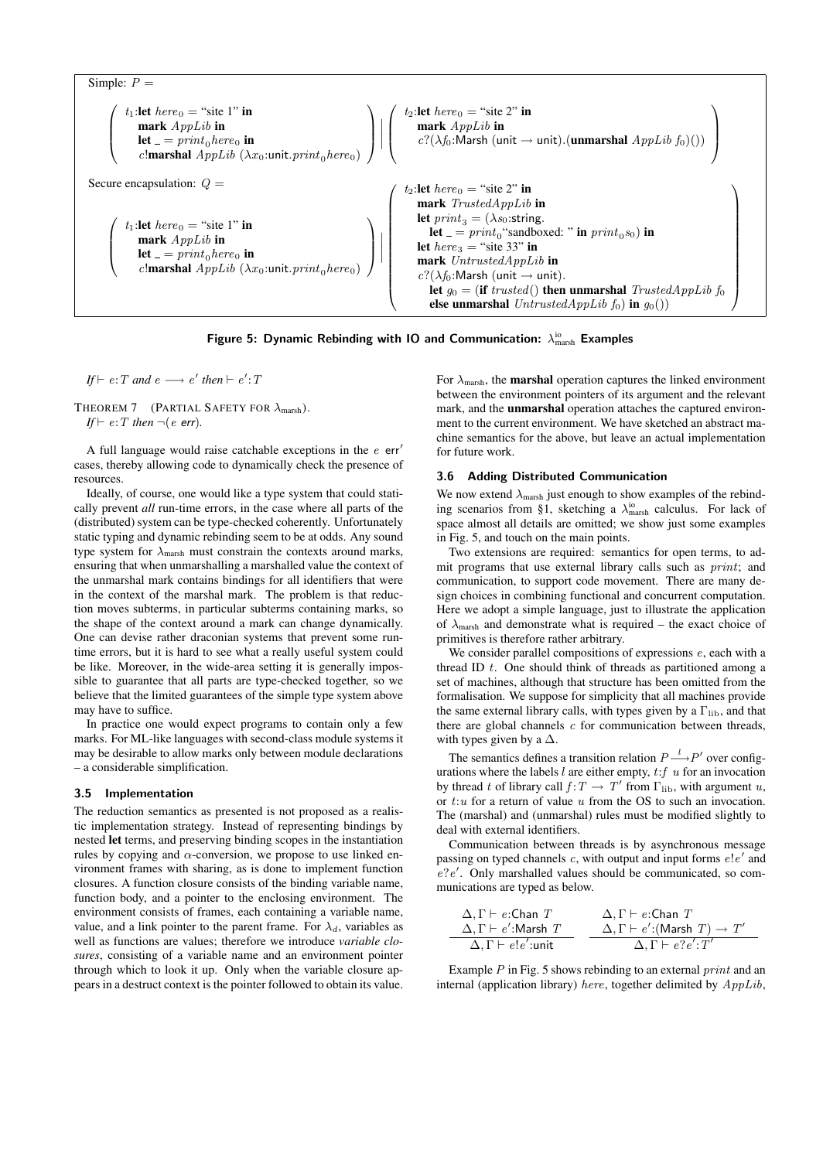

Figure 5: Dynamic Rebinding with IO and Communication:  $\lambda_{\text{marsh}}^{\text{io}}$  Examples

*If*  $\vdash e$ : *T* and  $e \longrightarrow e'$  then  $\vdash e'$ : *T* 

THEOREM 7 (PARTIAL SAFETY FOR  $\lambda_{\text{marsh}}$ ). *If*  $\vdash$  *e*: *T then*  $\neg$  (*e err*).

A full language would raise catchable exceptions in the  $e$  err' cases, thereby allowing code to dynamically check the presence of resources.

Ideally, of course, one would like a type system that could statically prevent *all* run-time errors, in the case where all parts of the (distributed) system can be type-checked coherently. Unfortunately static typing and dynamic rebinding seem to be at odds. Any sound type system for  $\lambda_{\text{marsh}}$  must constrain the contexts around marks, ensuring that when unmarshalling a marshalled value the context of the unmarshal mark contains bindings for all identifiers that were in the context of the marshal mark. The problem is that reduction moves subterms, in particular subterms containing marks, so the shape of the context around a mark can change dynamically. One can devise rather draconian systems that prevent some runtime errors, but it is hard to see what a really useful system could be like. Moreover, in the wide-area setting it is generally impossible to guarantee that all parts are type-checked together, so we believe that the limited guarantees of the simple type system above may have to suffice.

In practice one would expect programs to contain only a few marks. For ML-like languages with second-class module systems it may be desirable to allow marks only between module declarations – a considerable simplification.

#### 3.5 Implementation

The reduction semantics as presented is not proposed as a realistic implementation strategy. Instead of representing bindings by nested **let** terms, and preserving binding scopes in the instantiation rules by copying and  $\alpha$ -conversion, we propose to use linked environment frames with sharing, as is done to implement function closures. A function closure consists of the binding variable name, function body, and a pointer to the enclosing environment. The environment consists of frames, each containing a variable name, value, and a link pointer to the parent frame. For  $\lambda_d$ , variables as well as functions are values; therefore we introduce *variable closures*, consisting of a variable name and an environment pointer through which to look it up. Only when the variable closure appears in a destruct context is the pointer followed to obtain its value. For  $\lambda_{\text{marsh}}$ , the **marshal** operation captures the linked environment between the environment pointers of its argument and the relevant mark, and the **unmarshal** operation attaches the captured environment to the current environment. We have sketched an abstract machine semantics for the above, but leave an actual implementation for future work.

#### 3.6 Adding Distributed Communication

We now extend  $\lambda_{\text{marsh}}$  just enough to show examples of the rebinding scenarios from §1, sketching a  $\lambda_{\text{marsh}}^{io}$  calculus. For lack of space almost all details are omitted; we show just some examples in Fig. 5, and touch on the main points.

Two extensions are required: semantics for open terms, to admit programs that use external library calls such as print; and communication, to support code movement. There are many design choices in combining functional and concurrent computation. Here we adopt a simple language, just to illustrate the application of  $\lambda_{\text{marsh}}$  and demonstrate what is required – the exact choice of primitives is therefore rather arbitrary.

We consider parallel compositions of expressions  $e$ , each with a thread ID  $t$ . One should think of threads as partitioned among a set of machines, although that structure has been omitted from the formalisation. We suppose for simplicity that all machines provide the same external library calls, with types given by a  $\Gamma_{\text{lib}}$ , and that there are global channels  $c$  for communication between threads, with types given by a  $\Delta.$ 

The semantics defines a transition relation  $P \longrightarrow P'$  over configurations where the labels  $l$  are either empty,  $t: f \, u$  for an invocation by thread t of library call  $f: T \to T'$  from  $\Gamma_{\rm lib}$ , with argument u, or  $t:u$  for a return of value  $u$  from the OS to such an invocation. The (marshal) and (unmarshal) rules must be modified slightly to deal with external identifiers.

Communication between threads is by asynchronous message passing on typed channels c, with output and input forms  $e!e'$  and  $e$ ? $e'$ . Only marshalled values should be communicated, so communications are typed as below.

$$
\Delta, \Gamma \vdash e:\text{Chan } T
$$
\n
$$
\Delta, \Gamma \vdash e':\text{Marsh } T
$$
\n
$$
\Delta, \Gamma \vdash e'::\text{Marsh } T
$$
\n
$$
\Delta, \Gamma \vdash e'::\text{Marsh } T) \to T'
$$
\n
$$
\Delta, \Gamma \vdash e'e'::\text{Tr } \Delta, \Gamma \vdash e'e':T'
$$

Example  $P$  in Fig. 5 shows rebinding to an external  $print$  and an internal (application library) here, together delimited by  $AppLib,$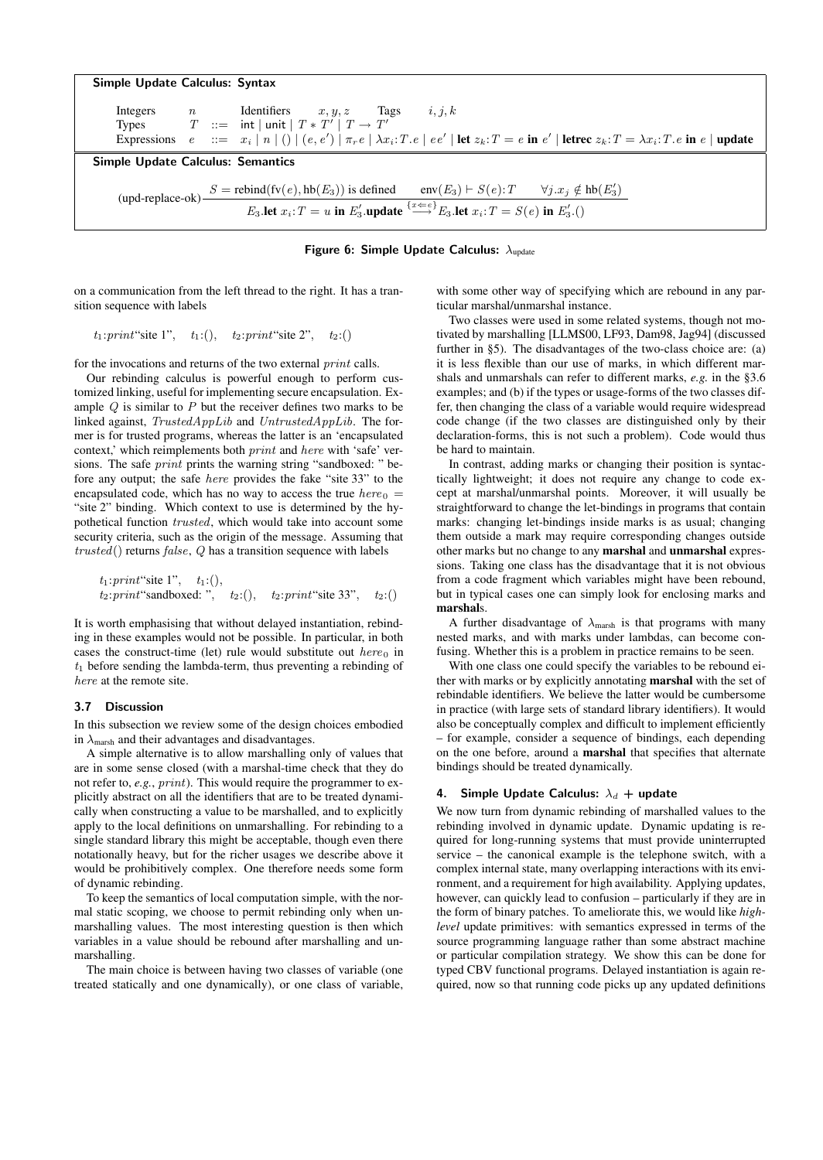```
Simple Update Calculus: Syntax
     Integers n Identifiers x, y, z Tags i, j, kTypes T := \int \text{int} |\text{unit}| \, T * T' | \, T \to T'Expressions e ::= x_i | n | () | (e, e') | \pi_r e | \lambda x_i : T \cdot e | e e' | \text{let } z_k : T = e \text{ in } e' | \text{letterec } z_k : T = \lambda x_i : T \cdot e \text{ in } e | \text{ update } eSimple Update Calculus: Semantics
       (upd-replace-ok) S = \text{rebind}(\text{fv}(e), \text{hb}(E_3)) is defined \text{env}(E_3) \vdash S(e): T \quad \forall j.x_j \notin \text{hb}(E'_3)E_3.let x_i: T = u in E'_3.update \stackrel{\{x \Leftarrow e\}}{\longrightarrow} E_3.let x_i: T = S(e) in E'_3.()
```
# Figure 6: Simple Update Calculus:  $\lambda_{update}$

on a communication from the left thread to the right. It has a transition sequence with labels

 $t_1:print$ "site 1",  $t_1:()$ ,  $t_2:print$ "site 2",  $t_2:()$ 

for the invocations and returns of the two external print calls.

Our rebinding calculus is powerful enough to perform customized linking, useful for implementing secure encapsulation. Example  $Q$  is similar to  $P$  but the receiver defines two marks to be linked against, TrustedAppLib and UntrustedAppLib. The former is for trusted programs, whereas the latter is an 'encapsulated context,' which reimplements both  $print$  and here with 'safe' versions. The safe print prints the warning string "sandboxed: " before any output; the safe here provides the fake "site 33" to the encapsulated code, which has no way to access the true  $here_0 =$ "site 2" binding. Which context to use is determined by the hypothetical function trusted, which would take into account some security criteria, such as the origin of the message. Assuming that trusted() returns false, Q has a transition sequence with labels

 $t_1:print$ "site 1",  $t_1:()$ ,  $t_2:print$ "sandboxed: ",  $t_2:()$ ,  $t_2:print$ "site 33",  $t_2:()$ 

It is worth emphasising that without delayed instantiation, rebinding in these examples would not be possible. In particular, in both cases the construct-time (let) rule would substitute out  $here_0$  in  $t_1$  before sending the lambda-term, thus preventing a rebinding of here at the remote site.

#### 3.7 Discussion

In this subsection we review some of the design choices embodied in  $\lambda_{\text{marsh}}$  and their advantages and disadvantages.

A simple alternative is to allow marshalling only of values that are in some sense closed (with a marshal-time check that they do not refer to, *e.g.*, print). This would require the programmer to explicitly abstract on all the identifiers that are to be treated dynamically when constructing a value to be marshalled, and to explicitly apply to the local definitions on unmarshalling. For rebinding to a single standard library this might be acceptable, though even there notationally heavy, but for the richer usages we describe above it would be prohibitively complex. One therefore needs some form of dynamic rebinding.

To keep the semantics of local computation simple, with the normal static scoping, we choose to permit rebinding only when unmarshalling values. The most interesting question is then which variables in a value should be rebound after marshalling and unmarshalling.

The main choice is between having two classes of variable (one treated statically and one dynamically), or one class of variable,

with some other way of specifying which are rebound in any particular marshal/unmarshal instance.

Two classes were used in some related systems, though not motivated by marshalling [LLMS00, LF93, Dam98, Jag94] (discussed further in §5). The disadvantages of the two-class choice are: (a) it is less flexible than our use of marks, in which different marshals and unmarshals can refer to different marks, *e.g.* in the §3.6 examples; and (b) if the types or usage-forms of the two classes differ, then changing the class of a variable would require widespread code change (if the two classes are distinguished only by their declaration-forms, this is not such a problem). Code would thus be hard to maintain.

In contrast, adding marks or changing their position is syntactically lightweight; it does not require any change to code except at marshal/unmarshal points. Moreover, it will usually be straightforward to change the let-bindings in programs that contain marks: changing let-bindings inside marks is as usual; changing them outside a mark may require corresponding changes outside other marks but no change to any **marshal** and **unmarshal** expressions. Taking one class has the disadvantage that it is not obvious from a code fragment which variables might have been rebound, but in typical cases one can simply look for enclosing marks and **marshal**s.

A further disadvantage of  $\lambda_{\text{marsh}}$  is that programs with many nested marks, and with marks under lambdas, can become confusing. Whether this is a problem in practice remains to be seen.

With one class one could specify the variables to be rebound either with marks or by explicitly annotating **marshal** with the set of rebindable identifiers. We believe the latter would be cumbersome in practice (with large sets of standard library identifiers). It would also be conceptually complex and difficult to implement efficiently – for example, consider a sequence of bindings, each depending on the one before, around a **marshal** that specifies that alternate bindings should be treated dynamically.

#### 4. Simple Update Calculus:  $\lambda_d$  + update

We now turn from dynamic rebinding of marshalled values to the rebinding involved in dynamic update. Dynamic updating is required for long-running systems that must provide uninterrupted service – the canonical example is the telephone switch, with a complex internal state, many overlapping interactions with its environment, and a requirement for high availability. Applying updates, however, can quickly lead to confusion – particularly if they are in the form of binary patches. To ameliorate this, we would like *highlevel* update primitives: with semantics expressed in terms of the source programming language rather than some abstract machine or particular compilation strategy. We show this can be done for typed CBV functional programs. Delayed instantiation is again required, now so that running code picks up any updated definitions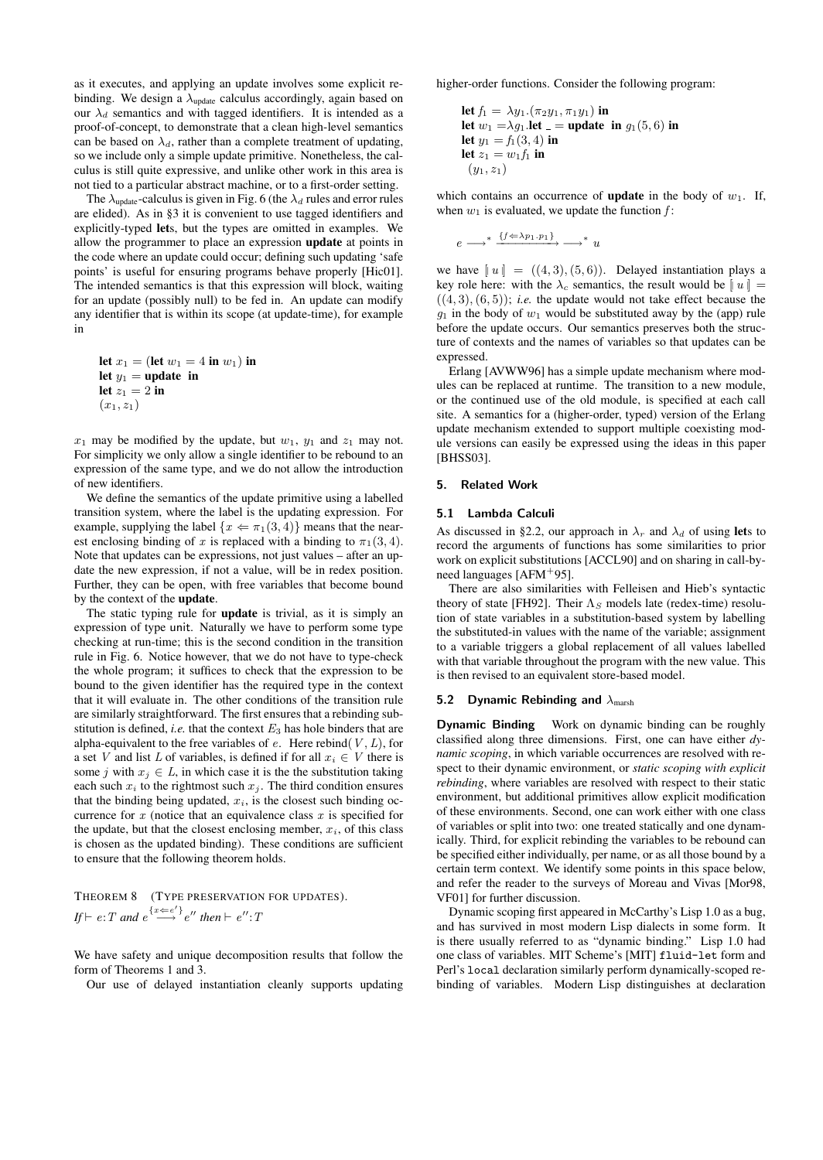as it executes, and applying an update involves some explicit rebinding. We design a  $\lambda_{update}$  calculus accordingly, again based on our  $\lambda_d$  semantics and with tagged identifiers. It is intended as a proof-of-concept, to demonstrate that a clean high-level semantics can be based on  $\lambda_d$ , rather than a complete treatment of updating, so we include only a simple update primitive. Nonetheless, the calculus is still quite expressive, and unlike other work in this area is not tied to a particular abstract machine, or to a first-order setting.

The  $\lambda_{\text{update}}$ -calculus is given in Fig. 6 (the  $\lambda_d$  rules and error rules are elided). As in §3 it is convenient to use tagged identifiers and explicitly-typed **let**s, but the types are omitted in examples. We allow the programmer to place an expression **update** at points in the code where an update could occur; defining such updating 'safe points' is useful for ensuring programs behave properly [Hic01]. The intended semantics is that this expression will block, waiting for an update (possibly null) to be fed in. An update can modify any identifier that is within its scope (at update-time), for example in

let 
$$
x_1
$$
 = (let  $w_1$  = 4 in  $w_1$ ) in  
let  $y_1$  = update in  
let  $z_1$  = 2 in  
 $(x_1, z_1)$ 

 $x_1$  may be modified by the update, but  $w_1$ ,  $y_1$  and  $z_1$  may not. For simplicity we only allow a single identifier to be rebound to an expression of the same type, and we do not allow the introduction of new identifiers.

We define the semantics of the update primitive using a labelled transition system, where the label is the updating expression. For example, supplying the label  $\{x \leftarrow \pi_1(3, 4)\}$  means that the nearest enclosing binding of x is replaced with a binding to  $\pi_1(3, 4)$ . Note that updates can be expressions, not just values – after an update the new expression, if not a value, will be in redex position. Further, they can be open, with free variables that become bound by the context of the **update**.

The static typing rule for **update** is trivial, as it is simply an expression of type unit. Naturally we have to perform some type checking at run-time; this is the second condition in the transition rule in Fig. 6. Notice however, that we do not have to type-check the whole program; it suffices to check that the expression to be bound to the given identifier has the required type in the context that it will evaluate in. The other conditions of the transition rule are similarly straightforward. The first ensures that a rebinding substitution is defined, *i.e.* that the context  $E_3$  has hole binders that are alpha-equivalent to the free variables of  $e$ . Here rebind( $V, L$ ), for a set V and list L of variables, is defined if for all  $x_i \in V$  there is some j with  $x_i \in L$ , in which case it is the the substitution taking each such  $x_i$  to the rightmost such  $x_j$ . The third condition ensures that the binding being updated,  $x_i$ , is the closest such binding occurrence for  $x$  (notice that an equivalence class  $x$  is specified for the update, but that the closest enclosing member,  $x_i$ , of this class is chosen as the updated binding). These conditions are sufficient to ensure that the following theorem holds.

THEOREM 8 (TYPE PRESERVATION FOR UPDATES). *If*  $\vdash e$  *: T and*  $e^{ \{x \Leftarrow e' \}} e''$  *then*  $\vdash e''$  *: T* 

We have safety and unique decomposition results that follow the form of Theorems 1 and 3.

Our use of delayed instantiation cleanly supports updating

higher-order functions. Consider the following program:

let 
$$
f_1 = \lambda y_1 \cdot (\pi_2 y_1, \pi_1 y_1)
$$
 in  
let  $w_1 = \lambda g_1$ .let  $=$  update in  $g_1(5, 6)$  in  
let  $y_1 = f_1(3, 4)$  in  
let  $z_1 = w_1 f_1$  in  
 $(y_1, z_1)$ 

which contains an occurrence of **update** in the body of  $w_1$ . If, when  $w_1$  is evaluated, we update the function  $f$ :

$$
e \longrightarrow^* \xrightarrow{\{f \leftarrow \lambda p_1. p_1\}} \longrightarrow^* u
$$

we have  $[ u ] = ((4, 3), (5, 6))$ . Delayed instantiation plays a key role here: with the  $\lambda_c$  semantics, the result would be  $||u|| =$  $((4, 3), (6, 5))$ ; *i.e.* the update would not take effect because the  $g_1$  in the body of  $w_1$  would be substituted away by the (app) rule before the update occurs. Our semantics preserves both the structure of contexts and the names of variables so that updates can be expressed.

Erlang [AVWW96] has a simple update mechanism where modules can be replaced at runtime. The transition to a new module, or the continued use of the old module, is specified at each call site. A semantics for a (higher-order, typed) version of the Erlang update mechanism extended to support multiple coexisting module versions can easily be expressed using the ideas in this paper [BHSS03].

# 5. Related Work

#### 5.1 Lambda Calculi

As discussed in §2.2, our approach in  $\lambda_r$  and  $\lambda_d$  of using **let**s to record the arguments of functions has some similarities to prior work on explicit substitutions [ACCL90] and on sharing in call-byneed languages [AFM<sup>+95]</sup>.

There are also similarities with Felleisen and Hieb's syntactic theory of state [FH92]. Their  $\Lambda_S$  models late (redex-time) resolution of state variables in a substitution-based system by labelling the substituted-in values with the name of the variable; assignment to a variable triggers a global replacement of all values labelled with that variable throughout the program with the new value. This is then revised to an equivalent store-based model.

# 5.2 Dynamic Rebinding and  $\lambda_{\text{marsh}}$

**Dynamic Binding** Work on dynamic binding can be roughly classified along three dimensions. First, one can have either *dynamic scoping*, in which variable occurrences are resolved with respect to their dynamic environment, or *static scoping with explicit rebinding*, where variables are resolved with respect to their static environment, but additional primitives allow explicit modification of these environments. Second, one can work either with one class of variables or split into two: one treated statically and one dynamically. Third, for explicit rebinding the variables to be rebound can be specified either individually, per name, or as all those bound by a certain term context. We identify some points in this space below, and refer the reader to the surveys of Moreau and Vivas [Mor98, VF01] for further discussion.

Dynamic scoping first appeared in McCarthy's Lisp 1.0 as a bug, and has survived in most modern Lisp dialects in some form. It is there usually referred to as "dynamic binding." Lisp 1.0 had one class of variables. MIT Scheme's [MIT] fluid-let form and Perl's local declaration similarly perform dynamically-scoped rebinding of variables. Modern Lisp distinguishes at declaration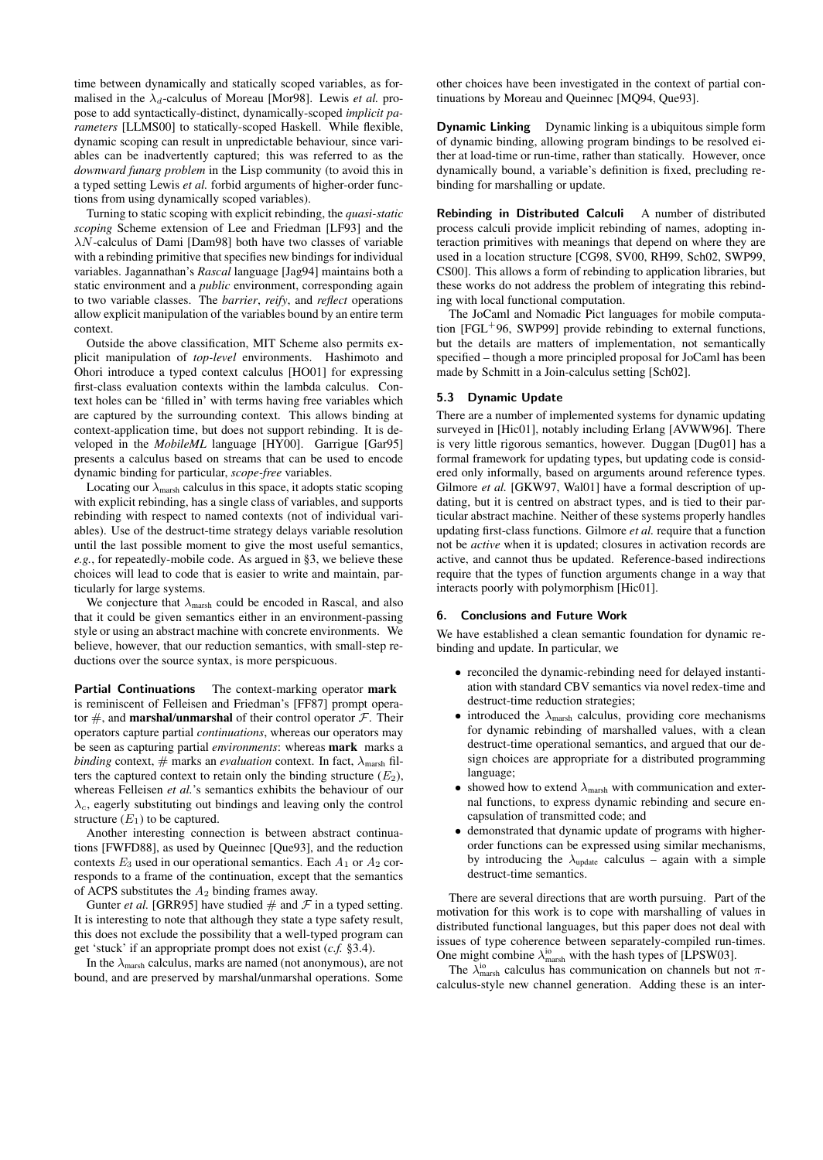time between dynamically and statically scoped variables, as formalised in the  $\lambda_d$ -calculus of Moreau [Mor98]. Lewis *et al.* propose to add syntactically-distinct, dynamically-scoped *implicit parameters* [LLMS00] to statically-scoped Haskell. While flexible, dynamic scoping can result in unpredictable behaviour, since variables can be inadvertently captured; this was referred to as the *downward funarg problem* in the Lisp community (to avoid this in a typed setting Lewis *et al.* forbid arguments of higher-order functions from using dynamically scoped variables).

Turning to static scoping with explicit rebinding, the *quasi-static scoping* Scheme extension of Lee and Friedman [LF93] and the  $\lambda N$ -calculus of Dami [Dam98] both have two classes of variable with a rebinding primitive that specifies new bindings for individual variables. Jagannathan's *Rascal* language [Jag94] maintains both a static environment and a *public* environment, corresponding again to two variable classes. The *barrier*, *reify*, and *reflect* operations allow explicit manipulation of the variables bound by an entire term context.

Outside the above classification, MIT Scheme also permits explicit manipulation of *top-level* environments. Hashimoto and Ohori introduce a typed context calculus [HO01] for expressing first-class evaluation contexts within the lambda calculus. Context holes can be 'filled in' with terms having free variables which are captured by the surrounding context. This allows binding at context-application time, but does not support rebinding. It is developed in the *MobileML* language [HY00]. Garrigue [Gar95] presents a calculus based on streams that can be used to encode dynamic binding for particular, *scope-free* variables.

Locating our  $\lambda_{\text{marsh}}$  calculus in this space, it adopts static scoping with explicit rebinding, has a single class of variables, and supports rebinding with respect to named contexts (not of individual variables). Use of the destruct-time strategy delays variable resolution until the last possible moment to give the most useful semantics, *e.g.*, for repeatedly-mobile code. As argued in §3, we believe these choices will lead to code that is easier to write and maintain, particularly for large systems.

We conjecture that  $\lambda_{\text{marsh}}$  could be encoded in Rascal, and also that it could be given semantics either in an environment-passing style or using an abstract machine with concrete environments. We believe, however, that our reduction semantics, with small-step reductions over the source syntax, is more perspicuous.

Partial Continuations The context-marking operator **mark** is reminiscent of Felleisen and Friedman's [FF87] prompt operator  $#$ , and **marshal/unmarshal** of their control operator  $F$ . Their operators capture partial *continuations*, whereas our operators may be seen as capturing partial *environments*: whereas **mark** marks a *binding* context,  $#$  marks an *evaluation* context. In fact,  $\lambda_{\text{marsh}}$  filters the captured context to retain only the binding structure  $(E_2)$ , whereas Felleisen *et al.*'s semantics exhibits the behaviour of our  $\lambda_c$ , eagerly substituting out bindings and leaving only the control structure  $(E_1)$  to be captured.

Another interesting connection is between abstract continuations [FWFD88], as used by Queinnec [Que93], and the reduction contexts  $E_3$  used in our operational semantics. Each  $A_1$  or  $A_2$  corresponds to a frame of the continuation, except that the semantics of ACPS substitutes the  $A_2$  binding frames away.

Gunter *et al.* [GRR95] have studied  $#$  and  $F$  in a typed setting. It is interesting to note that although they state a type safety result, this does not exclude the possibility that a well-typed program can get 'stuck' if an appropriate prompt does not exist (*c.f.* §3.4).

In the  $\lambda_{\text{marsh}}$  calculus, marks are named (not anonymous), are not bound, and are preserved by marshal/unmarshal operations. Some other choices have been investigated in the context of partial continuations by Moreau and Queinnec [MQ94, Que93].

**Dynamic Linking** Dynamic linking is a ubiquitous simple form of dynamic binding, allowing program bindings to be resolved either at load-time or run-time, rather than statically. However, once dynamically bound, a variable's definition is fixed, precluding rebinding for marshalling or update.

Rebinding in Distributed Calculi A number of distributed process calculi provide implicit rebinding of names, adopting interaction primitives with meanings that depend on where they are used in a location structure [CG98, SV00, RH99, Sch02, SWP99, CS00]. This allows a form of rebinding to application libraries, but these works do not address the problem of integrating this rebinding with local functional computation.

The JoCaml and Nomadic Pict languages for mobile computation  $[FGL^+96, SWP99]$  provide rebinding to external functions, but the details are matters of implementation, not semantically specified – though a more principled proposal for JoCaml has been made by Schmitt in a Join-calculus setting [Sch02].

# 5.3 Dynamic Update

There are a number of implemented systems for dynamic updating surveyed in [Hic01], notably including Erlang [AVWW96]. There is very little rigorous semantics, however. Duggan [Dug01] has a formal framework for updating types, but updating code is considered only informally, based on arguments around reference types. Gilmore *et al.* [GKW97, Wal01] have a formal description of updating, but it is centred on abstract types, and is tied to their particular abstract machine. Neither of these systems properly handles updating first-class functions. Gilmore *et al.* require that a function not be *active* when it is updated; closures in activation records are active, and cannot thus be updated. Reference-based indirections require that the types of function arguments change in a way that interacts poorly with polymorphism [Hic01].

#### 6. Conclusions and Future Work

We have established a clean semantic foundation for dynamic rebinding and update. In particular, we

- reconciled the dynamic-rebinding need for delayed instantiation with standard CBV semantics via novel redex-time and destruct-time reduction strategies;
- introduced the  $\lambda_{\text{mark}}$  calculus, providing core mechanisms for dynamic rebinding of marshalled values, with a clean destruct-time operational semantics, and argued that our design choices are appropriate for a distributed programming language;
- showed how to extend  $\lambda_{\text{marsh}}$  with communication and external functions, to express dynamic rebinding and secure encapsulation of transmitted code; and
- demonstrated that dynamic update of programs with higherorder functions can be expressed using similar mechanisms, by introducing the  $\lambda_{update}$  calculus – again with a simple destruct-time semantics.

There are several directions that are worth pursuing. Part of the motivation for this work is to cope with marshalling of values in distributed functional languages, but this paper does not deal with issues of type coherence between separately-compiled run-times. One might combine  $\lambda_{\text{marsh}}^{io}$  with the hash types of [LPSW03].

The  $\lambda_{\text{marsh}}^{i\text{o}}$  calculus has communication on channels but not  $\pi$ calculus-style new channel generation. Adding these is an inter